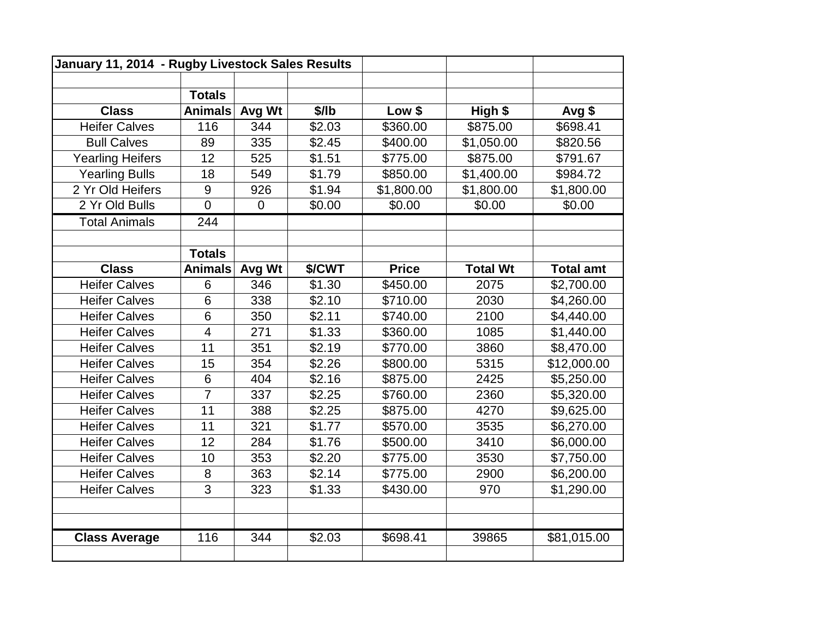| January 11, 2014 - Rugby Livestock Sales Results |                |                |        |              |                 |                  |
|--------------------------------------------------|----------------|----------------|--------|--------------|-----------------|------------------|
|                                                  |                |                |        |              |                 |                  |
|                                                  | <b>Totals</b>  |                |        |              |                 |                  |
| <b>Class</b>                                     | <b>Animals</b> | Avg Wt         | \$/lb  | Low \$       | High \$         | Avg \$           |
| <b>Heifer Calves</b>                             | 116            | 344            | \$2.03 | \$360.00     | \$875.00        | \$698.41         |
| <b>Bull Calves</b>                               | 89             | 335            | \$2.45 | \$400.00     | \$1,050.00      | \$820.56         |
| <b>Yearling Heifers</b>                          | 12             | 525            | \$1.51 | \$775.00     | \$875.00        | \$791.67         |
| <b>Yearling Bulls</b>                            | 18             | 549            | \$1.79 | \$850.00     | \$1,400.00      | \$984.72         |
| 2 Yr Old Heifers                                 | 9              | 926            | \$1.94 | \$1,800.00   | \$1,800.00      | \$1,800.00       |
| 2 Yr Old Bulls                                   | $\overline{0}$ | $\overline{0}$ | \$0.00 | \$0.00       | \$0.00          | \$0.00           |
| <b>Total Animals</b>                             | 244            |                |        |              |                 |                  |
|                                                  |                |                |        |              |                 |                  |
|                                                  | <b>Totals</b>  |                |        |              |                 |                  |
| <b>Class</b>                                     | <b>Animals</b> | Avg Wt         | \$/CWT | <b>Price</b> | <b>Total Wt</b> | <b>Total amt</b> |
| <b>Heifer Calves</b>                             | 6              | 346            | \$1.30 | \$450.00     | 2075            | \$2,700.00       |
| <b>Heifer Calves</b>                             | 6              | 338            | \$2.10 | \$710.00     | 2030            | \$4,260.00       |
| <b>Heifer Calves</b>                             | 6              | 350            | \$2.11 | \$740.00     | 2100            | \$4,440.00       |
| <b>Heifer Calves</b>                             | $\overline{4}$ | 271            | \$1.33 | \$360.00     | 1085            | \$1,440.00       |
| <b>Heifer Calves</b>                             | 11             | 351            | \$2.19 | \$770.00     | 3860            | \$8,470.00       |
| <b>Heifer Calves</b>                             | 15             | 354            | \$2.26 | \$800.00     | 5315            | \$12,000.00      |
| <b>Heifer Calves</b>                             | 6              | 404            | \$2.16 | \$875.00     | 2425            | \$5,250.00       |
| <b>Heifer Calves</b>                             | $\overline{7}$ | 337            | \$2.25 | \$760.00     | 2360            | \$5,320.00       |
| <b>Heifer Calves</b>                             | 11             | 388            | \$2.25 | \$875.00     | 4270            | \$9,625.00       |
| <b>Heifer Calves</b>                             | 11             | 321            | \$1.77 | \$570.00     | 3535            | \$6,270.00       |
| <b>Heifer Calves</b>                             | 12             | 284            | \$1.76 | \$500.00     | 3410            | \$6,000.00       |
| <b>Heifer Calves</b>                             | 10             | 353            | \$2.20 | \$775.00     | 3530            | \$7,750.00       |
| <b>Heifer Calves</b>                             | 8              | 363            | \$2.14 | \$775.00     | 2900            | \$6,200.00       |
| <b>Heifer Calves</b>                             | 3              | 323            | \$1.33 | \$430.00     | 970             | \$1,290.00       |
|                                                  |                |                |        |              |                 |                  |
|                                                  |                |                |        |              |                 |                  |
| <b>Class Average</b>                             | 116            | 344            | \$2.03 | \$698.41     | 39865           | \$81,015.00      |
|                                                  |                |                |        |              |                 |                  |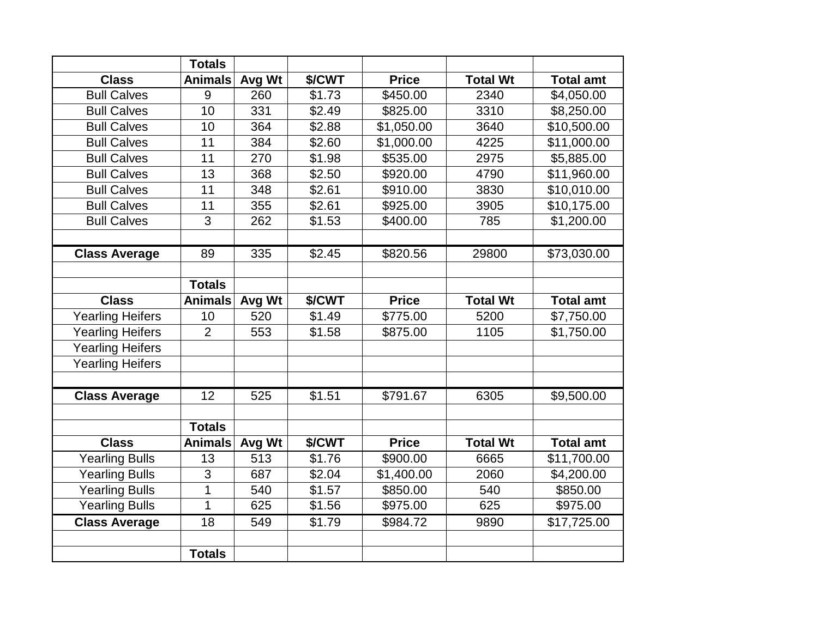|                         | <b>Totals</b>  |        |        |              |                 |                         |
|-------------------------|----------------|--------|--------|--------------|-----------------|-------------------------|
| <b>Class</b>            | <b>Animals</b> | Avg Wt | \$/CWT | <b>Price</b> | <b>Total Wt</b> | <b>Total amt</b>        |
| <b>Bull Calves</b>      | 9              | 260    | \$1.73 | \$450.00     | 2340            | \$4,050.00              |
| <b>Bull Calves</b>      | 10             | 331    | \$2.49 | \$825.00     | 3310            | \$8,250.00              |
| <b>Bull Calves</b>      | 10             | 364    | \$2.88 | \$1,050.00   | 3640            | \$10,500.00             |
| <b>Bull Calves</b>      | 11             | 384    | \$2.60 | \$1,000.00   | 4225            | \$11,000.00             |
| <b>Bull Calves</b>      | 11             | 270    | \$1.98 | \$535.00     | 2975            | \$5,885.00              |
| <b>Bull Calves</b>      | 13             | 368    | \$2.50 | \$920.00     | 4790            | \$11,960.00             |
| <b>Bull Calves</b>      | 11             | 348    | \$2.61 | \$910.00     | 3830            | \$10,010.00             |
| <b>Bull Calves</b>      | 11             | 355    | \$2.61 | \$925.00     | 3905            | \$10,175.00             |
| <b>Bull Calves</b>      | 3              | 262    | \$1.53 | \$400.00     | 785             | \$1,200.00              |
|                         |                |        |        |              |                 |                         |
| <b>Class Average</b>    | 89             | 335    | \$2.45 | \$820.56     | 29800           | $\overline{$}73,030.00$ |
|                         |                |        |        |              |                 |                         |
|                         | <b>Totals</b>  |        |        |              |                 |                         |
| <b>Class</b>            | <b>Animals</b> | Avg Wt | \$/CWT | <b>Price</b> | <b>Total Wt</b> | <b>Total amt</b>        |
| <b>Yearling Heifers</b> | 10             | 520    | \$1.49 | \$775.00     | 5200            | \$7,750.00              |
| <b>Yearling Heifers</b> | $\overline{2}$ | 553    | \$1.58 | \$875.00     | 1105            | \$1,750.00              |
| <b>Yearling Heifers</b> |                |        |        |              |                 |                         |
| <b>Yearling Heifers</b> |                |        |        |              |                 |                         |
|                         |                |        |        |              |                 |                         |
| <b>Class Average</b>    | 12             | 525    | \$1.51 | \$791.67     | 6305            | \$9,500.00              |
|                         |                |        |        |              |                 |                         |
|                         | <b>Totals</b>  |        |        |              |                 |                         |
| <b>Class</b>            | <b>Animals</b> | Avg Wt | \$/CWT | <b>Price</b> | <b>Total Wt</b> | <b>Total amt</b>        |
| <b>Yearling Bulls</b>   | 13             | 513    | \$1.76 | \$900.00     | 6665            | \$11,700.00             |
| <b>Yearling Bulls</b>   | 3              | 687    | \$2.04 | \$1,400.00   | 2060            | \$4,200.00              |
| <b>Yearling Bulls</b>   | 1              | 540    | \$1.57 | \$850.00     | 540             | \$850.00                |
| <b>Yearling Bulls</b>   | 1              | 625    | \$1.56 | \$975.00     | 625             | \$975.00                |
| <b>Class Average</b>    | 18             | 549    | \$1.79 | \$984.72     | 9890            | \$17,725.00             |
|                         |                |        |        |              |                 |                         |
|                         | <b>Totals</b>  |        |        |              |                 |                         |